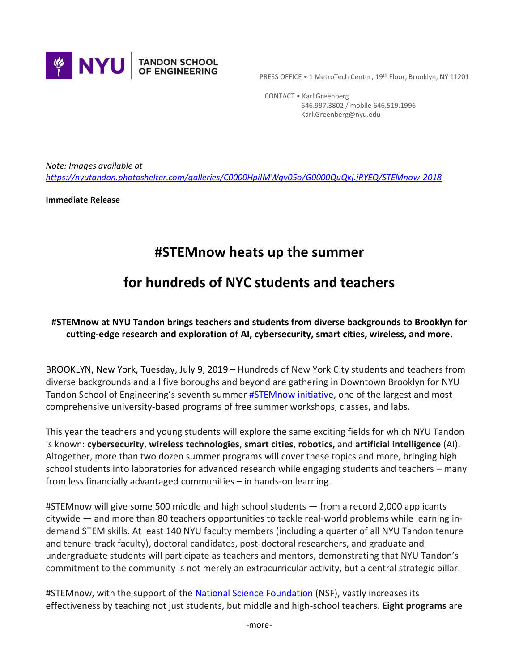

PRESS OFFICE . 1 MetroTech Center, 19th Floor, Brooklyn, NY 11201

 CONTACT • Karl Greenberg 646.997.3802 / mobile 646.519.1996 Karl.Greenberg@nyu.edu

*Note: Images available at <https://nyutandon.photoshelter.com/galleries/C0000HpiIMWgv05o/G0000QuQkj.jRYEQ/STEMnow-2018>*

**Immediate Release**

# **#STEMnow heats up the summer**

# **for hundreds of NYC students and teachers**

# **#STEMnow at NYU Tandon brings teachers and students from diverse backgrounds to Brooklyn for cutting-edge research and exploration of AI, cybersecurity, smart cities, wireless, and more.**

BROOKLYN, New York, Tuesday, July 9, 2019 – Hundreds of New York City students and teachers from diverse backgrounds and all five boroughs and beyond are gathering in Downtown Brooklyn for NYU Tandon School of Engineering's seventh summer **#STEMnow initiative**, one of the largest and most comprehensive university-based programs of free summer workshops, classes, and labs.

This year the teachers and young students will explore the same exciting fields for which NYU Tandon is known: **cybersecurity**, **wireless technologies**, **smart cities**, **robotics,** and **artificial intelligence** (AI). Altogether, more than two dozen summer programs will cover these topics and more, bringing high school students into laboratories for advanced research while engaging students and teachers – many from less financially advantaged communities – in hands-on learning.

#STEMnow will give some 500 middle and high school students — from a record 2,000 applicants citywide — and more than 80 teachers opportunities to tackle real-world problems while learning indemand STEM skills. At least 140 NYU faculty members (including a quarter of all NYU Tandon tenure and tenure-track faculty), doctoral candidates, post-doctoral researchers, and graduate and undergraduate students will participate as teachers and mentors, demonstrating that NYU Tandon's commitment to the community is not merely an extracurricular activity, but a central strategic pillar.

#STEMnow, with the support of the [National Science Foundation](https://www.nsf.gov/) (NSF), vastly increases its effectiveness by teaching not just students, but middle and high-school teachers. **Eight programs** are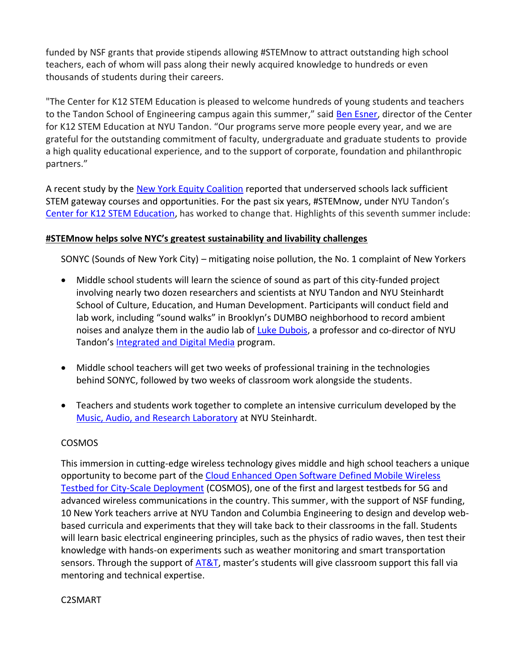funded by NSF grants that provide stipends allowing #STEMnow to attract outstanding high school teachers, each of whom will pass along their newly acquired knowledge to hundreds or even thousands of students during their careers.

"The Center for K12 STEM Education is pleased to welcome hundreds of young students and teachers to the Tandon School of Engineering campus again this summer," said [Ben Esner,](https://engineering.nyu.edu/staff/ben-esner) director of the Center for K12 STEM Education at NYU Tandon. "Our programs serve more people every year, and we are grateful for the outstanding commitment of faculty, undergraduate and graduate students to provide a high quality educational experience, and to the support of corporate, foundation and philanthropic partners."

A recent study by the [New York Equity Coalition](http://equityinedny.edtrust.org/wp-content/uploads/sites/14/2018/05/Within-Our-Reach.pdf) reported that underserved schools lack sufficient STEM gateway courses and opportunities. For the past six years, #STEMnow, under NYU Tandon's [Center for K12 STEM Education,](https://engineering.nyu.edu/research-innovation/k12-stem-education) has worked to change that. Highlights of this seventh summer include:

## **#STEMnow helps solve NYC's greatest sustainability and livability challenges**

SONYC (Sounds of New York City) – mitigating noise pollution, the No. 1 complaint of New Yorkers

- Middle school students will learn the science of sound as part of this city-funded project involving nearly two dozen researchers and scientists at NYU Tandon and NYU Steinhardt School of Culture, Education, and Human Development. Participants will conduct field and lab work, including "sound walks" in Brooklyn's DUMBO neighborhood to record ambient noises and analyze them in the audio lab of [Luke Dubois,](https://engineering.nyu.edu/faculty/r-luke-dubois) a professor and co-director of NYU Tandon's [Integrated and Digital Media](https://engineering.nyu.edu/academics/programs/integrated-digital-media-ms) program.
- Middle school teachers will get two weeks of professional training in the technologies behind SONYC, followed by two weeks of classroom work alongside the students.
- Teachers and students work together to complete an intensive curriculum developed by the [Music, Audio, and Research Laboratory](https://steinhardt.nyu.edu/marl/) at NYU Steinhardt.

## COSMOS

This immersion in cutting-edge wireless technology gives middle and high school teachers a unique opportunity to become part of the [Cloud Enhanced Open Software Defined Mobile Wireless](https://cosmos-lab.org/)  [Testbed for City-Scale Deployment](https://cosmos-lab.org/) (COSMOS), one of the first and largest testbeds for 5G and advanced wireless communications in the country. This summer, with the support of NSF funding, 10 New York teachers arrive at NYU Tandon and Columbia Engineering to design and develop webbased curricula and experiments that they will take back to their classrooms in the fall. Students will learn basic electrical engineering principles, such as the physics of radio waves, then test their knowledge with hands-on experiments such as weather monitoring and smart transportation sensors. Through the support of  $\overline{AT&T}$ , master's students will give classroom support this fall via mentoring and technical expertise.

## C2SMART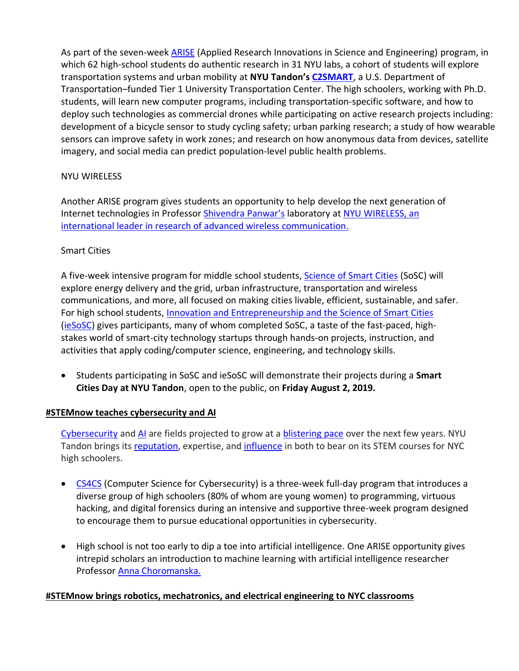As part of the seven-week [ARISE](https://engineering.nyu.edu/research-innovation/k12-stem-education/student-programs/arise) (Applied Research Innovations in Science and Engineering) program, in which 62 high-school students do authentic research in 31 NYU labs, a cohort of students will explore transportation systems and urban mobility at **NYU Tandon's [C2SMART](http://c2smart.engineering.nyu.edu/)**, a U.S. Department of Transportation–funded Tier 1 University Transportation Center. The high schoolers, working with Ph.D. students, will learn new computer programs, including transportation-specific software, and how to deploy such technologies as commercial drones while participating on active research projects including: development of a bicycle sensor to study cycling safety; urban parking research; a study of how wearable sensors can improve safety in work zones; and research on how anonymous data from devices, satellite imagery, and social media can predict population-level public health problems.

## NYU WIRELESS

Another ARISE program gives students an opportunity to help develop the next generation of Internet technologies in Professor [Shivendra Panwar](http://catt.poly.edu/~panwar/)'s laboratory a[t NYU WIRELESS,](https://wireless.engineering.nyu.edu/) an international leader in research of advanced wireless communication.

## Smart Cities

A five-week intensive program for middle school students, [Science of Smart Cities](https://engineering.nyu.edu/research-innovation/k12-stem-education/student-programs/science-smart-cities-sosc) (SoSC) will explore energy delivery and the grid, urban infrastructure, transportation and wireless communications, and more, all focused on making cities livable, efficient, sustainable, and safer. For high school students, [Innovation and Entrepreneurship and the Science of Smart Cities](https://engineering.nyu.edu/research-innovation/k12-stem-education/student-programs/innovation-entrepreneurship-and-science) [\(ieSoSC\)](https://engineering.nyu.edu/research-innovation/k12-stem-education/student-programs/innovation-entrepreneurship-and-science) gives participants, many of whom completed SoSC, a taste of the fast-paced, highstakes world of smart-city technology startups through hands-on projects, instruction, and activities that apply coding/computer science, engineering, and technology skills.

• Students participating in SoSC and ieSoSC will demonstrate their projects during a **Smart Cities Day at NYU Tandon**, open to the public, on **Friday August 2, 2019.**

## **#STEMnow teaches cybersecurity and AI**

[Cybersecurity](https://www.bls.gov/ooh/computer-and-information-technology/information-security-analysts.htm) an[d AI](http://reports.weforum.org/future-of-jobs-2018/key-findings/) are fields projected to grow at a [blistering pace](https://www.bls.gov/ooh/computer-and-information-technology/information-security-analysts.htm) over the next few years. NYU Tandon brings its [reputation,](https://engineering.nyu.edu/news/search-narrows-worlds-top-student-hackers-and-cybersecurity-protectors-countdown-nyu-csaw) expertise, and [influence](https://engineering.nyu.edu/academics/departments/electrical-and-computer-engineering/ece-seminar-series/modern-artificial) in both to bear on its STEM courses for NYC high schoolers.

- [CS4CS](https://engineering.nyu.edu/research-innovation/k12-stem-education/student-programs/computer-science-cyber-security-cs4cs) (Computer Science for Cybersecurity) is a three-week full-day program that introduces a diverse group of high schoolers (80% of whom are young women) to programming, virtuous hacking, and digital forensics during an intensive and supportive three-week program designed to encourage them to pursue educational opportunities in cybersecurity.
- High school is not too early to dip a toe into artificial intelligence. One ARISE opportunity gives intrepid scholars an introduction to machine learning with artificial intelligence researcher Professor [Anna Choromanska.](https://engineering.nyu.edu/faculty/anna-choromanska)

## **#STEMnow brings robotics, mechatronics, and electrical engineering to NYC classrooms**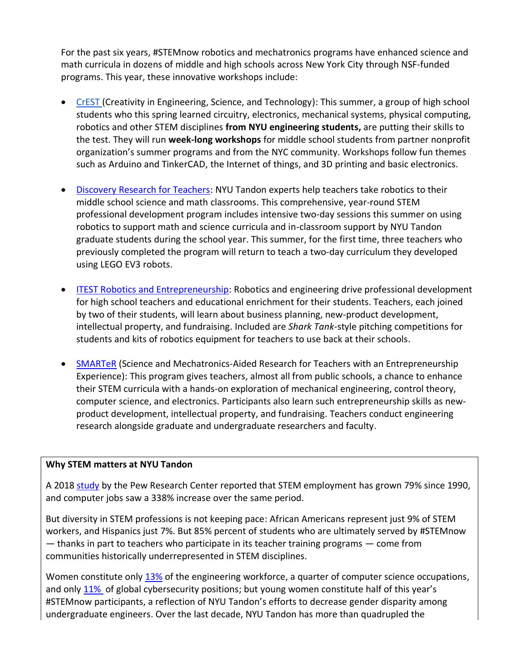For the past six years, #STEMnow robotics and mechatronics programs have enhanced science and math curricula in dozens of middle and high schools across New York City through NSF-funded programs. This year, these innovative workshops include:

- [CrEST](http://engineering.nyu.edu/k12stem/crest/) (Creativity in Engineering, Science, and Technology): This summer, a group of high school students who this spring learned circuitry, electronics, mechanical systems, physical computing, robotics and other STEM disciplines **from NYU engineering students,** are putting their skills to the test. They will run **week-long workshops** for middle school students from partner nonprofit organization's summer programs and from the NYC community. Workshops follow fun themes such as Arduino and TinkerCAD, the Internet of things, and 3D printing and basic electronics.
- [Discovery Research for Teachers:](https://engineering.nyu.edu/research-innovation/k12-stem-education/teacher-programs/drk12-robotics) NYU Tandon experts help teachers take robotics to their middle school science and math classrooms. This comprehensive, year-round STEM professional development program includes intensive two-day sessions this summer on using robotics to support math and science curricula and in-classroom support by NYU Tandon graduate students during the school year. This summer, for the first time, three teachers who previously completed the program will return to teach a two-day curriculum they developed using LEGO EV3 robots.
- [ITEST Robotics and Entrepreneurship:](http://engineering.nyu.edu/mechatronics/ITEST/) Robotics and engineering drive professional development for high school teachers and educational enrichment for their students. Teachers, each joined by two of their students, will learn about business planning, new-product development, intellectual property, and fundraising. Included are *Shark Tank*-style pitching competitions for students and kits of robotics equipment for teachers to use back at their schools.
- [SMARTeR](https://engineering.nyu.edu/research-innovation/k12-stem-education/teacher-programs/research-experiences-teachers) (Science and Mechatronics-Aided Research for Teachers with an Entrepreneurship Experience): This program gives teachers, almost all from public schools, a chance to enhance their STEM curricula with a hands-on exploration of mechanical engineering, control theory, computer science, and electronics. Participants also learn such entrepreneurship skills as newproduct development, intellectual property, and fundraising. Teachers conduct engineering research alongside graduate and undergraduate researchers and faculty.

## **Why STEM matters at NYU Tandon**

A 2018 [study](http://www.pewsocialtrends.org/2018/01/09/diversity-in-the-stem-workforce-varies-widely-across-jobs/) by the Pew Research Center reported that STEM employment has grown 79% since 1990, and computer jobs saw a 338% increase over the same period.

But diversity in STEM professions is not keeping pace: African Americans represent just 9% of STEM workers, and Hispanics just 7%. But 85% percent of students who are ultimately served by #STEMnow  $-$  thanks in part to teachers who participate in its teacher training programs  $-$  come from communities historically underrepresented in STEM disciplines.

Women constitute only [13%](https://alltogether.swe.org/2018/09/swe-research-update-women-in-engineering-by-the-numbers/) of the engineering workforce, a quarter of computer science occupations, and only [11%](https://blog.isc2.org/isc2_blog/2017/05/the-great-divide-women-in-cybersecurity-infographic.html) of global cybersecurity positions; but young women constitute half of this year's #STEMnow participants, a reflection of NYU Tandon's efforts to decrease gender disparity among undergraduate engineers. Over the last decade, NYU Tandon has more than quadrupled the